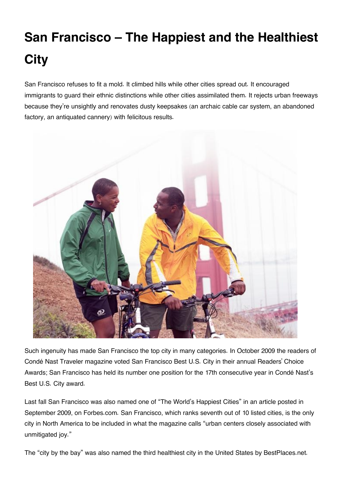## **San Francisco – The Happiest and the Healthiest City**

San Francisco refuses to fit a mold. It climbed hills while other cities spread out. It encouraged immigrants to guard their ethnic distinctions while other cities assimilated them. It rejects urban freeways because they're unsightly and renovates dusty keepsakes (an archaic cable car system, an abandoned factory, an antiquated cannery) with felicitous results.



Such ingenuity has made San Francisco the top city in many categories. In October 2009 the readers of Condé Nast Traveler magazine voted San Francisco Best U.S. City in their annual Readers' Choice Awards; San Francisco has held its number one position for the 17th consecutive year in Condé Nast's Best U.S. City award.

Last fall San Francisco was also named one of "The World's Happiest Cities" in an article posted in September 2009, on Forbes.com. San Francisco, which ranks seventh out of 10 listed cities, is the only city in North America to be included in what the magazine calls "urban centers closely associated with unmitigated joy."

The "city by the bay" was also named the third healthiest city in the United States by BestPlaces.net.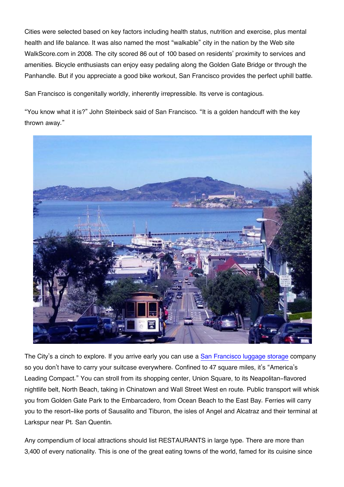Cities were selected based on key factors including health status, nutrition and exercise, plus mental health and life balance. It was also named the most "walkable" city in the nation by the Web site WalkScore.com in 2008. The city scored 86 out of 100 based on residents' proximity to services and amenities. Bicycle enthusiasts can enjoy easy pedaling along the Golden Gate Bridge or through the Panhandle. But if you appreciate a good bike workout, San Francisco provides the perfect uphill battle.

San Francisco is congenitally worldly, inherently irrepressible. Its verve is contagious.

"You know what it is?" John Steinbeck said of San Francisco. "It is a golden handcuff with the key thrown away."



The City's a cinch to explore. If you arrive early you can use a [San Francisco luggage storage](https://usebounce.com/city/san-francisco) company so you don't have to carry your suitcase everywhere. Confined to 47 square miles, it's "America's Leading Compact." You can stroll from its shopping center, Union Square, to its Neapolitan-flavored nightlife belt, North Beach, taking in Chinatown and Wall Street West en route. Public transport will whisk you from Golden Gate Park to the Embarcadero, from Ocean Beach to the East Bay. Ferries will carry you to the resort-like ports of Sausalito and Tiburon, the isles of Angel and Alcatraz and their terminal at Larkspur near Pt. San Quentin.

Any compendium of local attractions should list RESTAURANTS in large type. There are more than 3,400 of every nationality. This is one of the great eating towns of the world, famed for its cuisine since